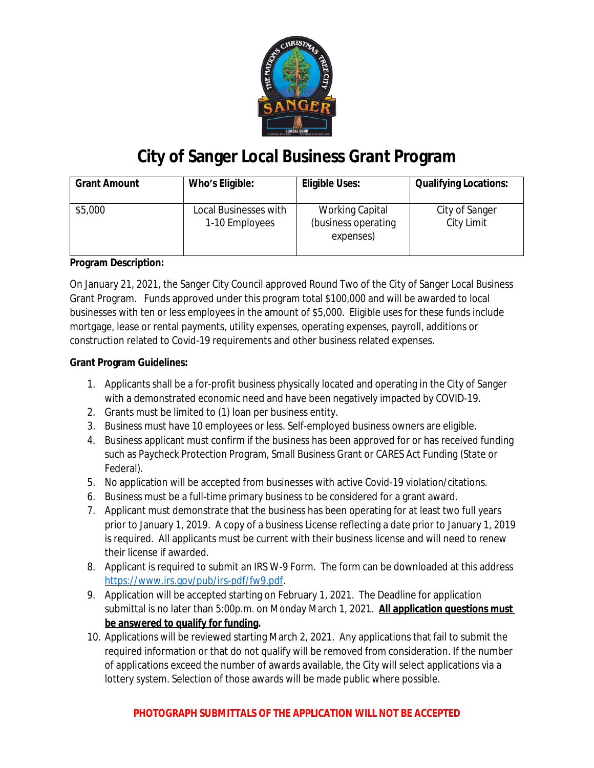

# **City of Sanger Local Business Grant Program**

| <b>Grant Amount</b> | Who's Eligible:                         | <b>Eligible Uses:</b>                                      | <b>Qualifying Locations:</b> |
|---------------------|-----------------------------------------|------------------------------------------------------------|------------------------------|
| \$5,000             | Local Businesses with<br>1-10 Employees | <b>Working Capital</b><br>(business operating<br>expenses) | City of Sanger<br>City Limit |

## **Program Description:**

On January 21, 2021, the Sanger City Council approved Round Two of the City of Sanger Local Business Grant Program. Funds approved under this program total \$100,000 and will be awarded to local businesses with ten or less employees in the amount of \$5,000. Eligible uses for these funds include mortgage, lease or rental payments, utility expenses, operating expenses, payroll, additions or construction related to Covid-19 requirements and other business related expenses.

### **Grant Program Guidelines:**

- 1. Applicants shall be a for-profit business physically located and operating in the City of Sanger with a demonstrated economic need and have been negatively impacted by COVID-19.
- 2. Grants must be limited to (1) loan per business entity.
- 3. Business must have 10 employees or less. Self-employed business owners are eligible.
- 4. Business applicant must confirm if the business has been approved for or has received funding such as Paycheck Protection Program, Small Business Grant or CARES Act Funding (State or Federal).
- 5. No application will be accepted from businesses with active Covid-19 violation/citations.
- 6. Business must be a full-time primary business to be considered for a grant award.
- 7. Applicant must demonstrate that the business has been operating for at least two full years prior to January 1, 2019. A copy of a business License reflecting a date prior to January 1, 2019 is required. All applicants must be current with their business license and will need to renew their license if awarded.
- 8. Applicant is required to submit an IRS W-9 Form. The form can be downloaded at this address [https://www.irs.gov/pub/irs-pdf/fw9.pdf.](https://www.irs.gov/pub/irs-pdf/fw9.pdf)
- 9. Application will be accepted starting on February 1, 2021. The Deadline for application submittal is no later than 5:00p.m. on Monday March 1, 2021. **All application questions must be answered to qualify for funding.**
- 10. Applications will be reviewed starting March 2, 2021. Any applications that fail to submit the required information or that do not qualify will be removed from consideration. If the number of applications exceed the number of awards available, the City will select applications via a lottery system. Selection of those awards will be made public where possible.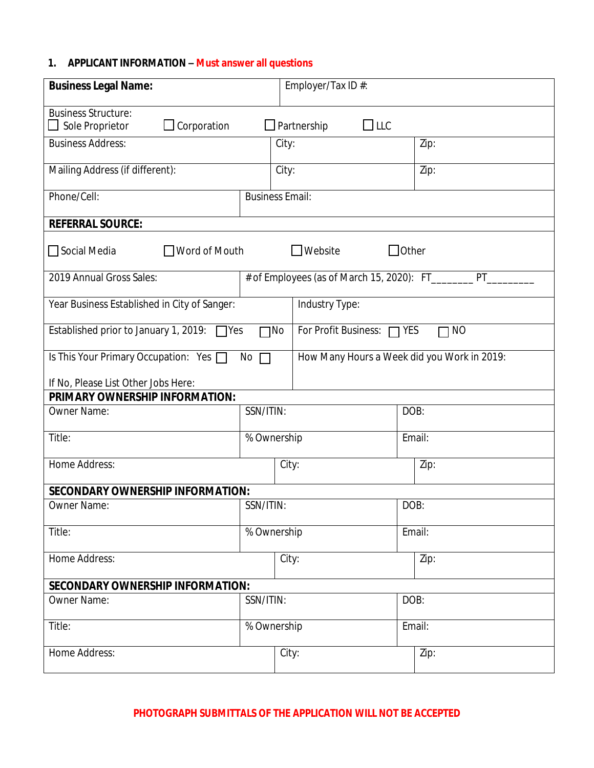## **1. APPLICANT INFORMATION – Must answer all questions**

| <b>Business Legal Name:</b>                                                                                    |             | Employer/Tax ID #: |                                             |      |        |  |  |  |
|----------------------------------------------------------------------------------------------------------------|-------------|--------------------|---------------------------------------------|------|--------|--|--|--|
| <b>Business Structure:</b><br>$\Box$ LLC<br>$\Box$ Corporation<br>$\Box$ Sole Proprietor<br>$\Box$ Partnership |             |                    |                                             |      |        |  |  |  |
| <b>Business Address:</b>                                                                                       |             | City:              |                                             |      | Zip:   |  |  |  |
| Mailing Address (if different):                                                                                |             | City:              |                                             |      | Zip:   |  |  |  |
| Phone/Cell:<br><b>Business Email:</b>                                                                          |             |                    |                                             |      |        |  |  |  |
| <b>REFERRAL SOURCE:</b>                                                                                        |             |                    |                                             |      |        |  |  |  |
| $\Box$ Website<br>$\Box$ Other<br>□ Social Media<br>$\Box$ Word of Mouth                                       |             |                    |                                             |      |        |  |  |  |
| 2019 Annual Gross Sales:<br># of Employees (as of March 15, 2020): FT_______<br>PT                             |             |                    |                                             |      |        |  |  |  |
| Year Business Established in City of Sanger:                                                                   |             |                    | Industry Type:                              |      |        |  |  |  |
| Established prior to January 1, 2019: $\Box$ Yes<br>$\neg$ No                                                  |             |                    | For Profit Business:<br><b>NO</b><br>YES    |      |        |  |  |  |
| Is This Your Primary Occupation: Yes<br>No<br>$\Box$                                                           |             |                    | How Many Hours a Week did you Work in 2019: |      |        |  |  |  |
| If No, Please List Other Jobs Here:                                                                            |             |                    |                                             |      |        |  |  |  |
| PRIMARY OWNERSHIP INFORMATION:                                                                                 |             |                    |                                             |      |        |  |  |  |
| Owner Name:                                                                                                    |             | SSN/ITIN:          |                                             | DOB: |        |  |  |  |
| Title:                                                                                                         | % Ownership |                    |                                             |      | Email: |  |  |  |
| Home Address:                                                                                                  |             | City:              |                                             |      | Zip:   |  |  |  |
| <b>SECONDARY OWNERSHIP INFORMATION:</b>                                                                        |             |                    |                                             |      |        |  |  |  |
| SSN/ITIN:<br><b>Owner Name:</b>                                                                                |             |                    |                                             |      | DOB:   |  |  |  |
| Title:<br>% Ownership                                                                                          |             |                    |                                             |      | Email: |  |  |  |
| Home Address:                                                                                                  |             | City:              |                                             |      | Zip:   |  |  |  |
| <b>SECONDARY OWNERSHIP INFORMATION:</b>                                                                        |             |                    |                                             |      |        |  |  |  |
| SSN/ITIN:<br>Owner Name:                                                                                       |             |                    |                                             | DOB: |        |  |  |  |
| Title:<br>% Ownership                                                                                          |             |                    |                                             |      | Email: |  |  |  |
| Home Address:                                                                                                  |             | City:              |                                             |      | Zip:   |  |  |  |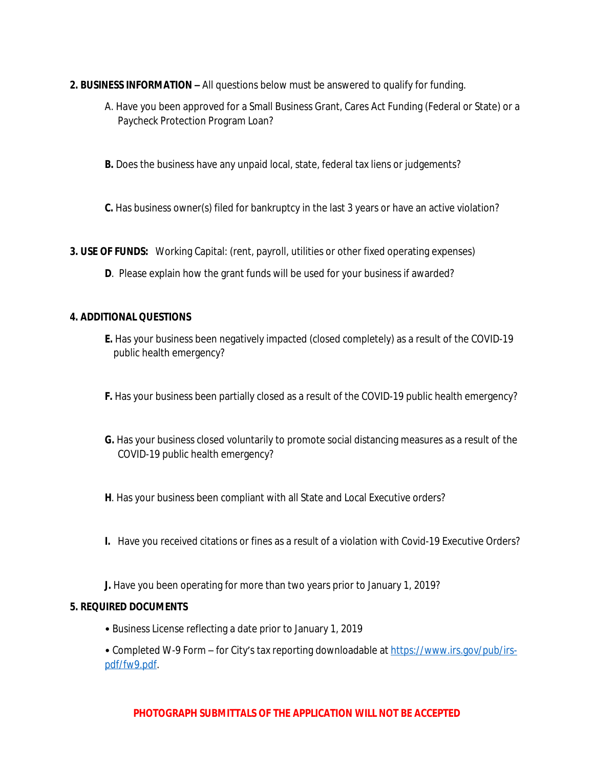- **2. BUSINESS INFORMATION –** All questions below must be answered to qualify for funding.
	- A. Have you been approved for a Small Business Grant, Cares Act Funding (Federal or State) or a Paycheck Protection Program Loan?
	- **B.** Does the business have any unpaid local, state, federal tax liens or judgements?
	- **C.** Has business owner(s) filed for bankruptcy in the last 3 years or have an active violation?

**3. USE OF FUNDS:** Working Capital: (rent, payroll, utilities or other fixed operating expenses)

**D**. Please explain how the grant funds will be used for your business if awarded?

#### **4. ADDITIONAL QUESTIONS**

- **E.** Has your business been negatively impacted (closed completely) as a result of the COVID-19 public health emergency?
- **F.** Has your business been partially closed as a result of the COVID-19 public health emergency?
- **G.** Has your business closed voluntarily to promote social distancing measures as a result of the COVID-19 public health emergency?
- **H**. Has your business been compliant with all State and Local Executive orders?
- **I.** Have you received citations or fines as a result of a violation with Covid-19 Executive Orders?
- **J.** Have you been operating for more than two years prior to January 1, 2019?

#### **5. REQUIRED DOCUMENTS**

- Business License reflecting a date prior to January 1, 2019
- Completed W-9 Form for City's tax reporting downloadable at [https://www.irs.gov/pub/irs](https://www.irs.gov/pub/irs-pdf/fw9.pdf)pdf/fw9.pdf.

#### **PHOTOGRAPH SUBMITTALS OF THE APPLICATION WILL NOT BE ACCEPTED**